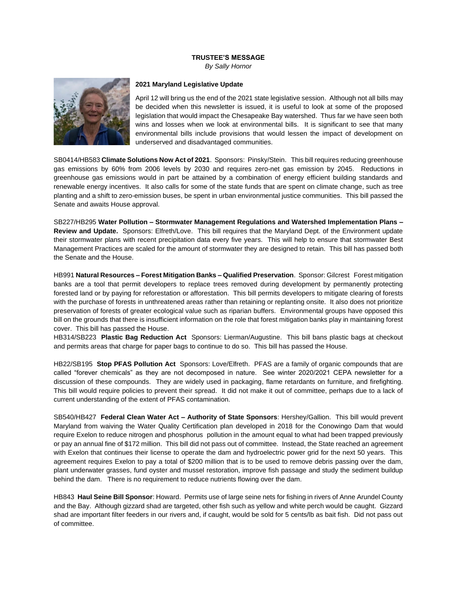## **TRUSTEE'S MESSAGE**

*By Sally Hornor*



## **2021 Maryland Legislative Update**

April 12 will bring us the end of the 2021 state legislative session. Although not all bills may be decided when this newsletter is issued, it is useful to look at some of the proposed legislation that would impact the Chesapeake Bay watershed. Thus far we have seen both wins and losses when we look at environmental bills. It is significant to see that many environmental bills include provisions that would lessen the impact of development on underserved and disadvantaged communities.

SB0414/HB583 **Climate Solutions Now Act of 2021**. Sponsors: Pinsky/Stein. This bill requires reducing greenhouse gas emissions by 60% from 2006 levels by 2030 and requires zero-net gas emission by 2045. Reductions in greenhouse gas emissions would in part be attained by a combination of energy efficient building standards and renewable energy incentives. It also calls for some of the state funds that are spent on climate change, such as tree planting and a shift to zero-emission buses, be spent in urban environmental justice communities. This bill passed the Senate and awaits House approval.

SB227/HB295 **Water Pollution – Stormwater Management Regulations and Watershed Implementation Plans – Review and Update.** Sponsors: Elfreth/Love. This bill requires that the Maryland Dept. of the Environment update their stormwater plans with recent precipitation data every five years. This will help to ensure that stormwater Best Management Practices are scaled for the amount of stormwater they are designed to retain. This bill has passed both the Senate and the House.

HB991 **Natural Resources – Forest Mitigation Banks – Qualified Preservation**. Sponsor: Gilcrest Forest mitigation banks are a tool that permit developers to replace trees removed during development by permanently protecting forested land or by paying for reforestation or afforestation. This bill permits developers to mitigate clearing of forests with the purchase of forests in unthreatened areas rather than retaining or replanting onsite. It also does not prioritize preservation of forests of greater ecological value such as riparian buffers. Environmental groups have opposed this bill on the grounds that there is insufficient information on the role that forest mitigation banks play in maintaining forest cover. This bill has passed the House.

HB314/SB223 **Plastic Bag Reduction Act** Sponsors: Lierman/Augustine. This bill bans plastic bags at checkout and permits areas that charge for paper bags to continue to do so. This bill has passed the House.

HB22/SB195 **Stop PFAS Pollution Act** Sponsors: Love/Elfreth. PFAS are a family of organic compounds that are called "forever chemicals" as they are not decomposed in nature. See winter 2020/2021 CEPA newsletter for a discussion of these compounds. They are widely used in packaging, flame retardants on furniture, and firefighting. This bill would require policies to prevent their spread. It did not make it out of committee, perhaps due to a lack of current understanding of the extent of PFAS contamination.

SB540/HB427 **Federal Clean Water Act – Authority of State Sponsors**: Hershey/Gallion. This bill would prevent Maryland from waiving the Water Quality Certification plan developed in 2018 for the Conowingo Dam that would require Exelon to reduce nitrogen and phosphorus pollution in the amount equal to what had been trapped previously or pay an annual fine of \$172 million. This bill did not pass out of committee. Instead, the State reached an agreement with Exelon that continues their license to operate the dam and hydroelectric power grid for the next 50 years. This agreement requires Exelon to pay a total of \$200 million that is to be used to remove debris passing over the dam, plant underwater grasses, fund oyster and mussel restoration, improve fish passage and study the sediment buildup behind the dam. There is no requirement to reduce nutrients flowing over the dam.

HB843 **Haul Seine Bill Sponsor**: Howard. Permits use of large seine nets for fishing in rivers of Anne Arundel County and the Bay. Although gizzard shad are targeted, other fish such as yellow and white perch would be caught. Gizzard shad are important filter feeders in our rivers and, if caught, would be sold for 5 cents/lb as bait fish. Did not pass out of committee.